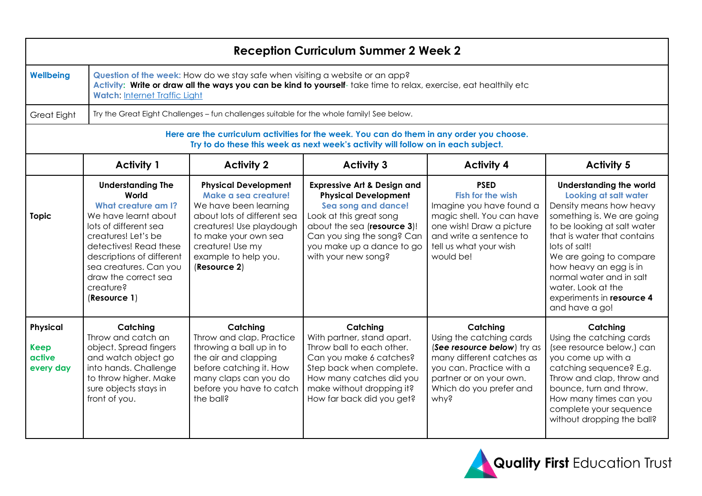| <b>Reception Curriculum Summer 2 Week 2</b>                                                                                                                                    |                                                                                                                                                                                                                                                                               |                                                                                                                                                                                                                             |                                                                                                                                                                                                                                          |                                                                                                                                                                                                |                                                                                                                                                                                                                                                                                                                                                       |  |
|--------------------------------------------------------------------------------------------------------------------------------------------------------------------------------|-------------------------------------------------------------------------------------------------------------------------------------------------------------------------------------------------------------------------------------------------------------------------------|-----------------------------------------------------------------------------------------------------------------------------------------------------------------------------------------------------------------------------|------------------------------------------------------------------------------------------------------------------------------------------------------------------------------------------------------------------------------------------|------------------------------------------------------------------------------------------------------------------------------------------------------------------------------------------------|-------------------------------------------------------------------------------------------------------------------------------------------------------------------------------------------------------------------------------------------------------------------------------------------------------------------------------------------------------|--|
| <b>Wellbeing</b>                                                                                                                                                               | Question of the week: How do we stay safe when visiting a website or an app?<br>Activity: Write or draw all the ways you can be kind to yourself-take time to relax, exercise, eat healthily etc<br><b>Watch: Internet Traffic Light</b>                                      |                                                                                                                                                                                                                             |                                                                                                                                                                                                                                          |                                                                                                                                                                                                |                                                                                                                                                                                                                                                                                                                                                       |  |
| Great Eight                                                                                                                                                                    | Try the Great Eight Challenges - fun challenges suitable for the whole family! See below.                                                                                                                                                                                     |                                                                                                                                                                                                                             |                                                                                                                                                                                                                                          |                                                                                                                                                                                                |                                                                                                                                                                                                                                                                                                                                                       |  |
| Here are the curriculum activities for the week. You can do them in any order you choose.<br>Try to do these this week as next week's activity will follow on in each subject. |                                                                                                                                                                                                                                                                               |                                                                                                                                                                                                                             |                                                                                                                                                                                                                                          |                                                                                                                                                                                                |                                                                                                                                                                                                                                                                                                                                                       |  |
|                                                                                                                                                                                | <b>Activity 1</b>                                                                                                                                                                                                                                                             | <b>Activity 2</b>                                                                                                                                                                                                           | <b>Activity 3</b>                                                                                                                                                                                                                        | <b>Activity 4</b>                                                                                                                                                                              | <b>Activity 5</b>                                                                                                                                                                                                                                                                                                                                     |  |
| <b>Topic</b>                                                                                                                                                                   | <b>Understanding The</b><br>World<br><b>What creature am I?</b><br>We have learnt about<br>lots of different sea<br>creatures! Let's be<br>detectives! Read these<br>descriptions of different<br>sea creatures. Can you<br>draw the correct sea<br>creature?<br>(Resource 1) | <b>Physical Development</b><br>Make a sea creature!<br>We have been learning<br>about lots of different sea<br>creatures! Use playdough<br>to make your own sea<br>creature! Use my<br>example to help you.<br>(Resource 2) | <b>Expressive Art &amp; Design and</b><br><b>Physical Development</b><br>Sea song and dance!<br>Look at this great song<br>about the sea (resource 3)!<br>Can you sing the song? Can<br>you make up a dance to go<br>with your new song? | <b>PSED</b><br><b>Fish for the wish</b><br>Imagine you have found a<br>magic shell. You can have<br>one wish! Draw a picture<br>and write a sentence to<br>tell us what your wish<br>would be! | <b>Understanding the world</b><br>Looking at salt water<br>Density means how heavy<br>something is. We are going<br>to be looking at salt water<br>that is water that contains<br>lots of salt!<br>We are going to compare<br>how heavy an egg is in<br>normal water and in salt<br>water. Look at the<br>experiments in resource 4<br>and have a go! |  |
| Physical<br><b>Keep</b><br>active<br>every day                                                                                                                                 | Catching<br>Throw and catch an<br>object. Spread fingers<br>and watch object go<br>into hands. Challenge<br>to throw higher. Make<br>sure objects stays in<br>front of you.                                                                                                   | Catching<br>Throw and clap. Practice<br>throwing a ball up in to<br>the air and clapping<br>before catching it. How<br>many claps can you do<br>before you have to catch<br>the ball?                                       | Catching<br>With partner, stand apart.<br>Throw ball to each other.<br>Can you make 6 catches?<br>Step back when complete.<br>How many catches did you<br>make without dropping it?<br>How far back did you get?                         | Catching<br>Using the catching cards<br>(See resource below) try as<br>many different catches as<br>you can. Practice with a<br>partner or on your own.<br>Which do you prefer and<br>why?     | Catching<br>Using the catching cards<br>(see resource below,) can<br>you come up with a<br>catching sequence? E.g.<br>Throw and clap, throw and<br>bounce, turn and throw.<br>How many times can you<br>complete your sequence<br>without dropping the ball?                                                                                          |  |

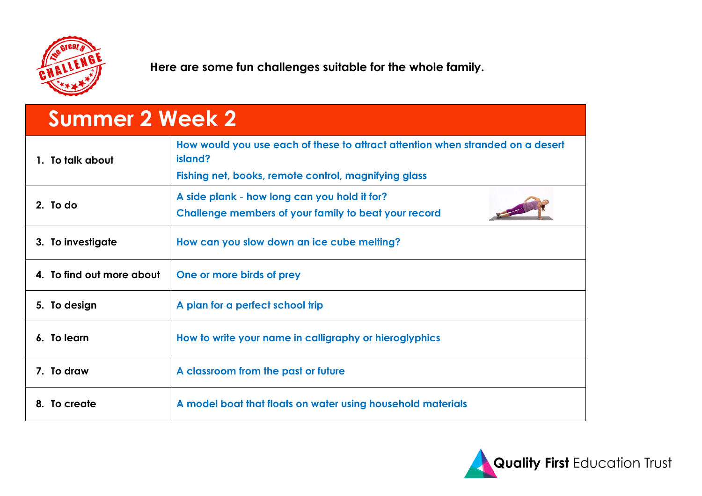

**Here are some fun challenges suitable for the whole family.**

## **Summer 2 Week 2**

| 1. To talk about          | How would you use each of these to attract attention when stranded on a desert<br>island?<br>Fishing net, books, remote control, magnifying glass |  |  |  |
|---------------------------|---------------------------------------------------------------------------------------------------------------------------------------------------|--|--|--|
| 2. To do                  | A side plank - how long can you hold it for?<br>Challenge members of your family to beat your record                                              |  |  |  |
| 3. To investigate         | How can you slow down an ice cube melling?                                                                                                        |  |  |  |
| 4. To find out more about | One or more birds of prey                                                                                                                         |  |  |  |
| 5. To design              | A plan for a perfect school trip                                                                                                                  |  |  |  |
| 6. To learn               | How to write your name in calligraphy or hieroglyphics                                                                                            |  |  |  |
| 7. To draw                | A classroom from the past or future                                                                                                               |  |  |  |
| 8. To create              | A model boat that floats on water using household materials                                                                                       |  |  |  |

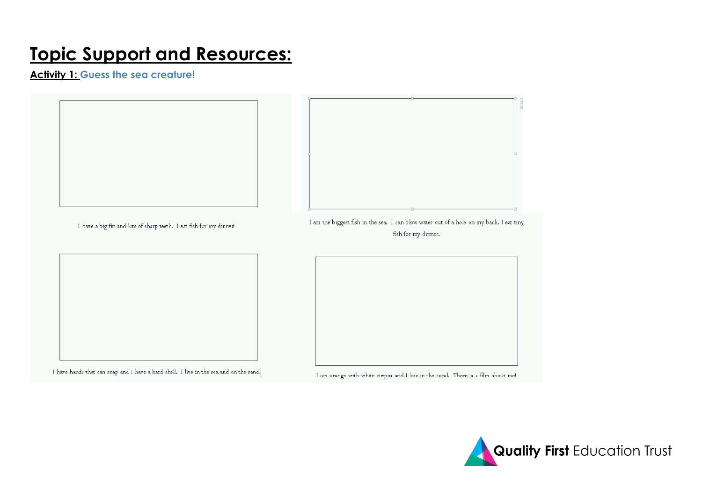## **Topic Support and Resources:**

**Activity 1: Guess the sea creature!**



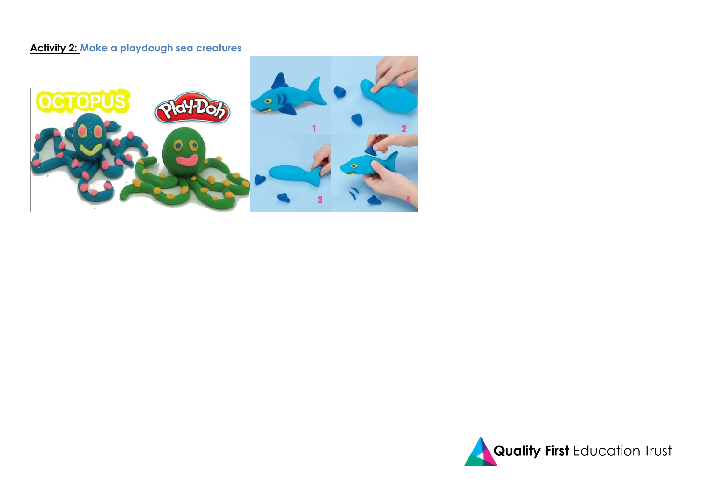#### **Activity 2: Make a playdough sea creatures**



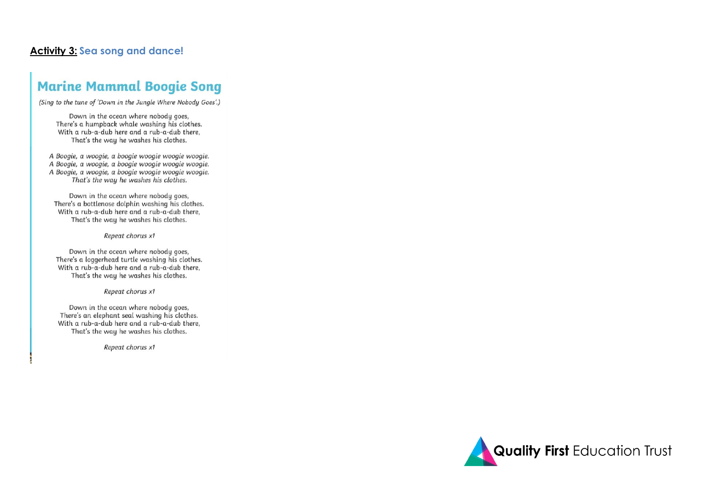#### **Activity 3: Sea song and dance!**

### **Marine Mammal Boogie Song**

(Sing to the tune of 'Down in the Jungle Where Nobody Goes'.)

Down in the ocean where nobody goes, There's a humpback whale washing his clothes. With a rub-a-dub here and a rub-a-dub there, That's the way he washes his clothes.

A Boogie, a woogie, a boogie woogie woogie woogie. A Boogie, a woogie, a boogie woogie woogie woogie. A Boogie, a woogie, a boogie woogie woogie woogie. That's the way he washes his clothes.

Down in the ocean where nobody goes, There's a bottlenose dolphin washing his clothes. With a rub-a-dub here and a rub-a-dub there, That's the way he washes his clothes.

Repeat chorus x1

Down in the ocean where nobody goes, There's a loggerhead turtle washing his clothes. With a rub-a-dub here and a rub-a-dub there, That's the way he washes his clothes.

Repeat chorus x1

Down in the ocean where nobody goes, There's an elephant seal washing his clothes. With a rub-a-dub here and a rub-a-dub there, That's the way he washes his clothes.

Repeat chorus x1

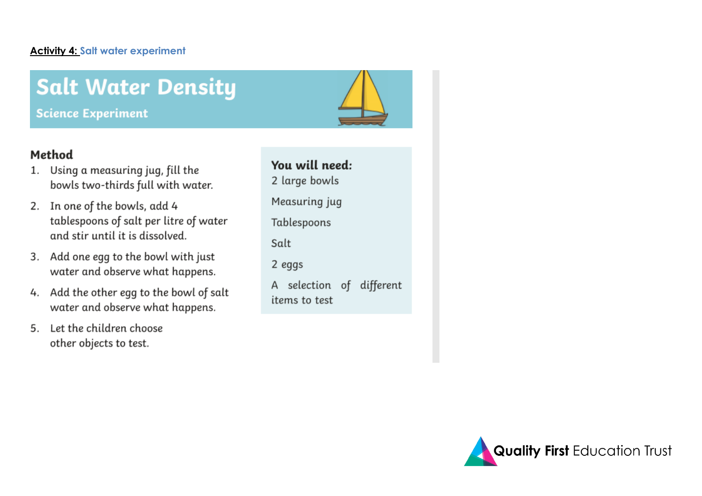#### **Activity 4: Salt water experiment**

# **Salt Water Density**

**Science Experiment** 

### Method

- 1. Using a measuring jug, fill the bowls two-thirds full with water.
- 2. In one of the bowls, add 4 tablespoons of salt per litre of water and stir until it is dissolved.
- 3. Add one egg to the bowl with just water and observe what happens.
- 4. Add the other egg to the bowl of salt water and observe what happens.
- 5. Let the children choose other objects to test.

| You will need:                            |  |  |  |  |  |
|-------------------------------------------|--|--|--|--|--|
| 2 large bowls                             |  |  |  |  |  |
| Measuring jug                             |  |  |  |  |  |
| Tablespoons                               |  |  |  |  |  |
| Salt                                      |  |  |  |  |  |
| 2 eggs                                    |  |  |  |  |  |
| A selection of different<br>items to test |  |  |  |  |  |
|                                           |  |  |  |  |  |